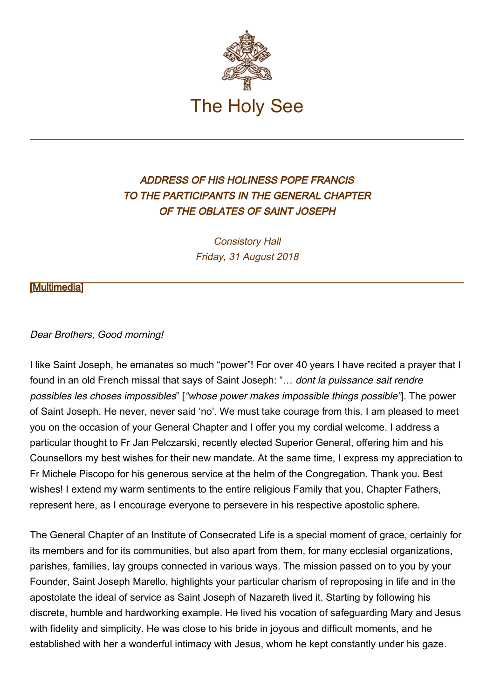

## ADDRESS OF HIS HOLINESS POPE FRANCIS TO THE PARTICIPANTS IN THE GENERAL CHAPTER OF THE OBLATES OF SAINT JOSEPH

Consistory Hall Friday, 31 August 2018

## [\[Multimedia](http://w2.vatican.va/content/francesco/en/events/event.dir.html/content/vaticanevents/en/2018/8/31/oblati-sangiuseppe.html)]

## Dear Brothers, Good morning!

I like Saint Joseph, he emanates so much "power"! For over 40 years I have recited a prayer that I found in an old French missal that says of Saint Joseph: "... dont la puissance sait rendre possibles les choses impossibles" ["whose power makes impossible things possible"]. The power of Saint Joseph. He never, never said 'no'. We must take courage from this. I am pleased to meet you on the occasion of your General Chapter and I offer you my cordial welcome. I address a particular thought to Fr Jan Pelczarski, recently elected Superior General, offering him and his Counsellors my best wishes for their new mandate. At the same time, I express my appreciation to Fr Michele Piscopo for his generous service at the helm of the Congregation. Thank you. Best wishes! I extend my warm sentiments to the entire religious Family that you, Chapter Fathers, represent here, as I encourage everyone to persevere in his respective apostolic sphere.

The General Chapter of an Institute of Consecrated Life is a special moment of grace, certainly for its members and for its communities, but also apart from them, for many ecclesial organizations, parishes, families, lay groups connected in various ways. The mission passed on to you by your Founder, Saint Joseph Marello, highlights your particular charism of reproposing in life and in the apostolate the ideal of service as Saint Joseph of Nazareth lived it. Starting by following his discrete, humble and hardworking example. He lived his vocation of safeguarding Mary and Jesus with fidelity and simplicity. He was close to his bride in joyous and difficult moments, and he established with her a wonderful intimacy with Jesus, whom he kept constantly under his gaze.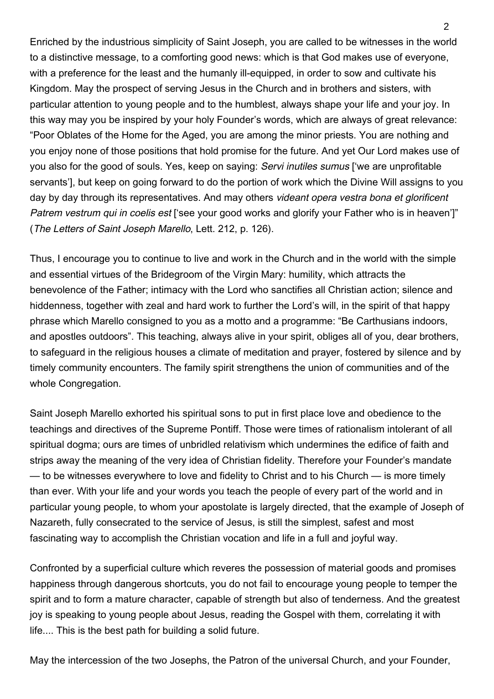Enriched by the industrious simplicity of Saint Joseph, you are called to be witnesses in the world to a distinctive message, to a comforting good news: which is that God makes use of everyone, with a preference for the least and the humanly ill-equipped, in order to sow and cultivate his Kingdom. May the prospect of serving Jesus in the Church and in brothers and sisters, with particular attention to young people and to the humblest, always shape your life and your joy. In this way may you be inspired by your holy Founder's words, which are always of great relevance: "Poor Oblates of the Home for the Aged, you are among the minor priests. You are nothing and you enjoy none of those positions that hold promise for the future. And yet Our Lord makes use of you also for the good of souls. Yes, keep on saying: Servi inutiles sumus ['we are unprofitable servants'], but keep on going forward to do the portion of work which the Divine Will assigns to you day by day through its representatives. And may others videant opera vestra bona et glorificent Patrem vestrum qui in coelis est ['see your good works and glorify your Father who is in heaven']" (The Letters of Saint Joseph Marello, Lett. 212, p. 126).

Thus, I encourage you to continue to live and work in the Church and in the world with the simple and essential virtues of the Bridegroom of the Virgin Mary: humility, which attracts the benevolence of the Father; intimacy with the Lord who sanctifies all Christian action; silence and hiddenness, together with zeal and hard work to further the Lord's will, in the spirit of that happy phrase which Marello consigned to you as a motto and a programme: "Be Carthusians indoors, and apostles outdoors". This teaching, always alive in your spirit, obliges all of you, dear brothers, to safeguard in the religious houses a climate of meditation and prayer, fostered by silence and by timely community encounters. The family spirit strengthens the union of communities and of the whole Congregation.

Saint Joseph Marello exhorted his spiritual sons to put in first place love and obedience to the teachings and directives of the Supreme Pontiff. Those were times of rationalism intolerant of all spiritual dogma; ours are times of unbridled relativism which undermines the edifice of faith and strips away the meaning of the very idea of Christian fidelity. Therefore your Founder's mandate — to be witnesses everywhere to love and fidelity to Christ and to his Church — is more timely than ever. With your life and your words you teach the people of every part of the world and in particular young people, to whom your apostolate is largely directed, that the example of Joseph of Nazareth, fully consecrated to the service of Jesus, is still the simplest, safest and most fascinating way to accomplish the Christian vocation and life in a full and joyful way.

Confronted by a superficial culture which reveres the possession of material goods and promises happiness through dangerous shortcuts, you do not fail to encourage young people to temper the spirit and to form a mature character, capable of strength but also of tenderness. And the greatest joy is speaking to young people about Jesus, reading the Gospel with them, correlating it with life.... This is the best path for building a solid future.

May the intercession of the two Josephs, the Patron of the universal Church, and your Founder,